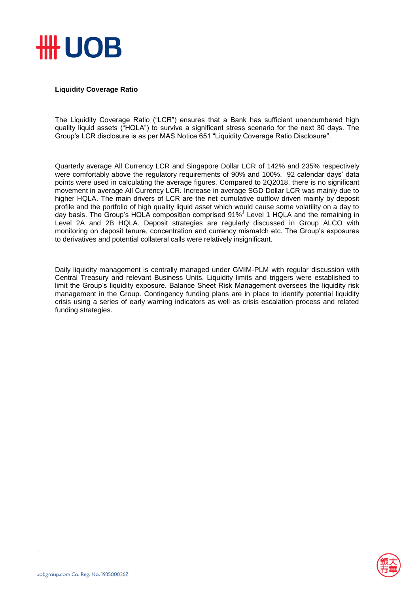

## **Liquidity Coverage Ratio**

The Liquidity Coverage Ratio ("LCR") ensures that a Bank has sufficient unencumbered high quality liquid assets ("HQLA") to survive a significant stress scenario for the next 30 days. The Group's LCR disclosure is as per MAS Notice 651 "Liquidity Coverage Ratio Disclosure".

Quarterly average All Currency LCR and Singapore Dollar LCR of 142% and 235% respectively were comfortably above the regulatory requirements of 90% and 100%. 92 calendar days' data points were used in calculating the average figures. Compared to 2Q2018, there is no significant movement in average All Currency LCR. Increase in average SGD Dollar LCR was mainly due to higher HQLA. The main drivers of LCR are the net cumulative outflow driven mainly by deposit profile and the portfolio of high quality liquid asset which would cause some volatility on a day to day basis. The Group's HQLA composition comprised 91% 1 Level 1 HQLA and the remaining in Level 2A and 2B HQLA. Deposit strategies are regularly discussed in Group ALCO with monitoring on deposit tenure, concentration and currency mismatch etc. The Group's exposures to derivatives and potential collateral calls were relatively insignificant.

Daily liquidity management is centrally managed under GMIM-PLM with regular discussion with Central Treasury and relevant Business Units. Liquidity limits and triggers were established to limit the Group's liquidity exposure. Balance Sheet Risk Management oversees the liquidity risk management in the Group. Contingency funding plans are in place to identify potential liquidity crisis using a series of early warning indicators as well as crisis escalation process and related funding strategies.

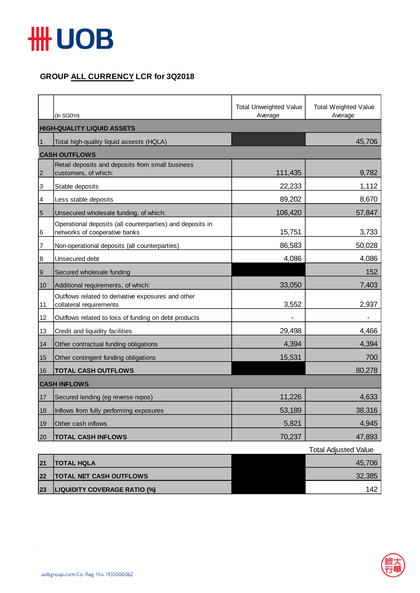

## **GROUP ALL CURRENCY LCR for 3Q2018**

|                 | (In SGD'm)                                                                                 | <b>Total Unweighted Value</b><br>Average | <b>Total Weighted Value</b><br>Average |  |  |
|-----------------|--------------------------------------------------------------------------------------------|------------------------------------------|----------------------------------------|--|--|
|                 | <b>HIGH-QUALITY LIQUID ASSETS</b>                                                          |                                          |                                        |  |  |
| $\mathbf{1}$    | Total high-quality liquid assests (HQLA)                                                   |                                          | 45,706                                 |  |  |
|                 | <b>CASH OUTFLOWS</b>                                                                       |                                          |                                        |  |  |
| $\overline{2}$  | Retail deposits and deposits from small business<br>customers, of which:                   | 111,435                                  | 9,782                                  |  |  |
| 3               | Stable deposits                                                                            | 22,233                                   | 1,112                                  |  |  |
| 4               | Less stable deposits                                                                       | 89,202                                   | 8,670                                  |  |  |
| $5\overline{5}$ | Unsecured wholesale funding, of which:                                                     | 106,420                                  | 57,847                                 |  |  |
| 6               | Operational deposits (all counterparties) and deposits in<br>networks of cooperative banks | 15,751                                   | 3,733                                  |  |  |
| 7               | Non-operational deposits (all counterparties)                                              | 86,583                                   | 50,028                                 |  |  |
| 8               | Unsecured debt                                                                             | 4,086                                    | 4,086                                  |  |  |
| $\overline{9}$  | Secured wholesale funding                                                                  |                                          | 152                                    |  |  |
| 10              | Additional requirements, of which:                                                         | 33,050                                   | 7,403                                  |  |  |
| 11              | Outflows related to derivative exposures and other<br>collateral requirements              | 3,552                                    | 2,937                                  |  |  |
| 12              | Outflows related to loss of funding on debt products                                       |                                          |                                        |  |  |
| 13              | Credit and liquidity facilities                                                            | 29,498                                   | 4,466                                  |  |  |
| 14              | Other contractual funding obligations                                                      | 4,394                                    | 4,394                                  |  |  |
| 15              | Other contingent funding obligations                                                       | 15,531                                   | 700                                    |  |  |
| 16              | <b>TOTAL CASH OUTFLOWS</b>                                                                 |                                          | 80,278                                 |  |  |
|                 | <b>CASH INFLOWS</b>                                                                        |                                          |                                        |  |  |
| 17              | Secured lending (eg reverse repos)                                                         | 11,226                                   | 4,633                                  |  |  |
| 18              | Inflows from fully performing exposures                                                    | 53,189                                   | 38,316                                 |  |  |
| 19              | Other cash inflows                                                                         | 5,821                                    | 4,945                                  |  |  |
| 20              | <b>TOTAL CASH INFLOWS</b>                                                                  | 70,237                                   | 47,893                                 |  |  |

|    |                                     | <b>Total Adjusted Value</b> |
|----|-------------------------------------|-----------------------------|
| 21 | <b>TOTAL HQLA</b>                   | 45,706                      |
| 22 | <b>TOTAL NET CASH OUTFLOWS</b>      | 32,385                      |
| 23 | <b>LIQUIDITY COVERAGE RATIO (%)</b> | 142                         |